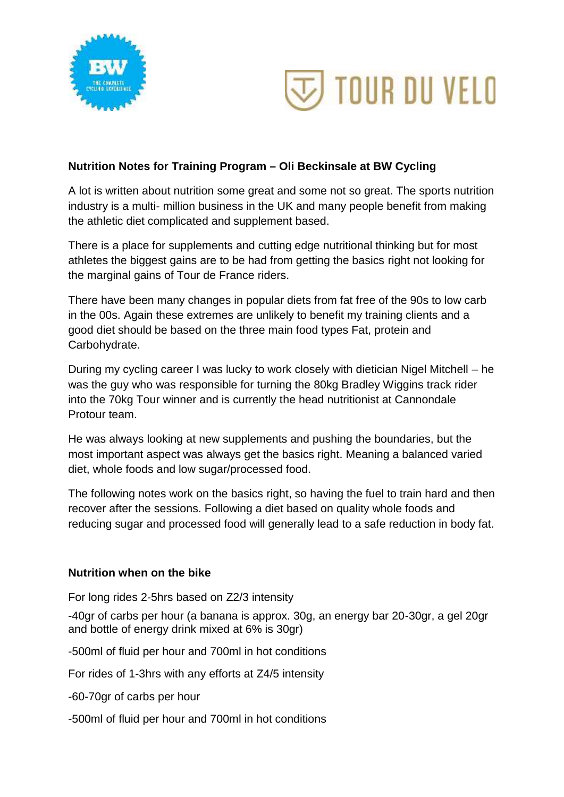



## **Nutrition Notes for Training Program – Oli Beckinsale at BW Cycling**

A lot is written about nutrition some great and some not so great. The sports nutrition industry is a multi- million business in the UK and many people benefit from making the athletic diet complicated and supplement based.

There is a place for supplements and cutting edge nutritional thinking but for most athletes the biggest gains are to be had from getting the basics right not looking for the marginal gains of Tour de France riders.

There have been many changes in popular diets from fat free of the 90s to low carb in the 00s. Again these extremes are unlikely to benefit my training clients and a good diet should be based on the three main food types Fat, protein and Carbohydrate.

During my cycling career I was lucky to work closely with dietician Nigel Mitchell – he was the guy who was responsible for turning the 80kg Bradley Wiggins track rider into the 70kg Tour winner and is currently the head nutritionist at Cannondale Protour team.

He was always looking at new supplements and pushing the boundaries, but the most important aspect was always get the basics right. Meaning a balanced varied diet, whole foods and low sugar/processed food.

The following notes work on the basics right, so having the fuel to train hard and then recover after the sessions. Following a diet based on quality whole foods and reducing sugar and processed food will generally lead to a safe reduction in body fat.

## **Nutrition when on the bike**

For long rides 2-5hrs based on Z2/3 intensity

-40gr of carbs per hour (a banana is approx. 30g, an energy bar 20-30gr, a gel 20gr and bottle of energy drink mixed at 6% is 30gr)

-500ml of fluid per hour and 700ml in hot conditions

For rides of 1-3hrs with any efforts at Z4/5 intensity

-60-70gr of carbs per hour

-500ml of fluid per hour and 700ml in hot conditions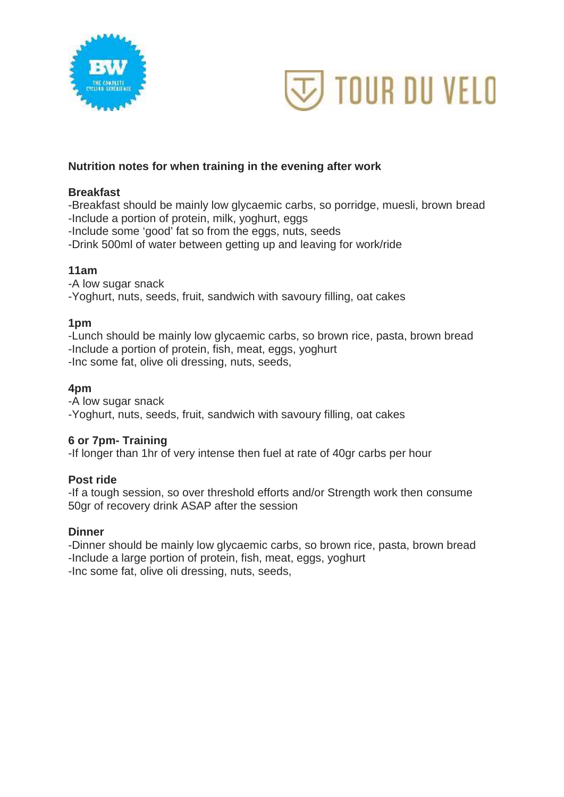



## **Nutrition notes for when training in the evening after work**

### **Breakfast**

-Breakfast should be mainly low glycaemic carbs, so porridge, muesli, brown bread -Include a portion of protein, milk, yoghurt, eggs

-Include some 'good' fat so from the eggs, nuts, seeds

-Drink 500ml of water between getting up and leaving for work/ride

#### **11am**

-A low sugar snack -Yoghurt, nuts, seeds, fruit, sandwich with savoury filling, oat cakes

#### **1pm**

-Lunch should be mainly low glycaemic carbs, so brown rice, pasta, brown bread -Include a portion of protein, fish, meat, eggs, yoghurt -Inc some fat, olive oli dressing, nuts, seeds,

#### **4pm**

-A low sugar snack -Yoghurt, nuts, seeds, fruit, sandwich with savoury filling, oat cakes

#### **6 or 7pm- Training**

-If longer than 1hr of very intense then fuel at rate of 40gr carbs per hour

#### **Post ride**

-If a tough session, so over threshold efforts and/or Strength work then consume 50gr of recovery drink ASAP after the session

#### **Dinner**

-Dinner should be mainly low glycaemic carbs, so brown rice, pasta, brown bread -Include a large portion of protein, fish, meat, eggs, yoghurt -Inc some fat, olive oli dressing, nuts, seeds,